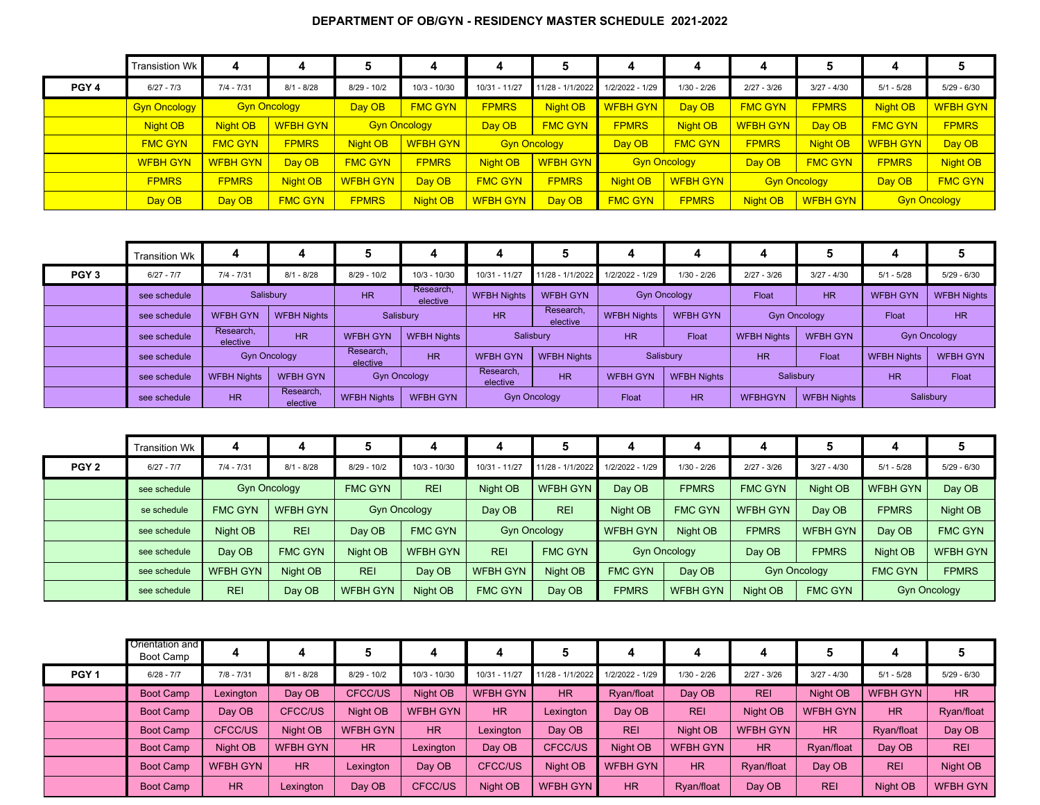## **DEPARTMENT OF OB/GYN - RESIDENCY MASTER SCHEDULE 2021-2022**

|                  | Transistion Wk      |                 |                     | 5               | 4                   |                 |                     |                 | 4                   |                 |                     |                 |                     |
|------------------|---------------------|-----------------|---------------------|-----------------|---------------------|-----------------|---------------------|-----------------|---------------------|-----------------|---------------------|-----------------|---------------------|
| PGY <sub>4</sub> | $6/27 - 7/3$        | $7/4 - 7/31$    | $8/1 - 8/28$        | $8/29 - 10/2$   | $10/3 - 10/30$      | 10/31 - 11/27   | 11/28 - 1/1/2022    | 1/2/2022 - 1/29 | $1/30 - 2/26$       | $2/27 - 3/26$   | $3/27 - 4/30$       | $5/1 - 5/28$    | $5/29 - 6/30$       |
|                  | <b>Gyn Oncology</b> |                 | <b>Gyn Oncology</b> | Day OB          | <b>FMC GYN</b>      | <b>FPMRS</b>    | Night OB            | <b>WFBH GYN</b> | Day OB              | <b>FMC GYN</b>  | <b>FPMRS</b>        | Night OB        | <b>WFBH GYN</b>     |
|                  | <b>Night OB</b>     | Night OB        | <b>WFBH GYN</b>     |                 | <b>Gyn Oncology</b> | Day OB          | <b>FMC GYN</b>      | <b>FPMRS</b>    | Night OB            | <b>WFBH GYN</b> | Day OB              | <b>FMC GYN</b>  | <b>FPMRS</b>        |
|                  | <b>FMC GYN</b>      | <b>FMC GYN</b>  | <b>FPMRS</b>        | Night OB        | <b>WFBH GYN</b>     |                 | <b>Gyn Oncology</b> | Day OB          | <b>FMC GYN</b>      | <b>FPMRS</b>    | Night OB            | <b>WFBH GYN</b> | Day OB              |
|                  | <b>WFBH GYN</b>     | <b>WFBH GYN</b> | Day OB              | <b>FMC GYN</b>  | <b>FPMRS</b>        | Night OB        | <b>WFBH GYN</b>     |                 | <b>Gyn Oncology</b> | Day OB          | <b>FMC GYN</b>      | <b>FPMRS</b>    | <b>Night OB</b>     |
|                  | <b>FPMRS</b>        | <b>FPMRS</b>    | Night OB            | <b>WFBH GYN</b> | Day OB              | <b>FMC GYN</b>  | <b>FPMRS</b>        | Night OB        | <b>WFBH GYN</b>     |                 | <b>Gyn Oncology</b> | Day OB          | <b>FMC GYN</b>      |
|                  | Day OB              | Day OB          | <b>FMC GYN</b>      | <b>FPMRS</b>    | Night OB            | <b>WFBH GYN</b> | Day OB              | <b>FMC GYN</b>  | <b>FPMRS</b>        | Night OB        | <b>WFBH GYN</b>     |                 | <b>Gyn Oncology</b> |

|                  | <b>Transition Wk</b> | 4                     |                       | 5                     |                       | д                     |                       |                    |                                 | 4                                    | э               |                    |                     |
|------------------|----------------------|-----------------------|-----------------------|-----------------------|-----------------------|-----------------------|-----------------------|--------------------|---------------------------------|--------------------------------------|-----------------|--------------------|---------------------|
| PGY <sub>3</sub> | $6/27 - 7/7$         | $7/4 - 7/31$          | $8/1 - 8/28$          | $8/29 - 10/2$         | $10/3 - 10/30$        | $10/31 - 11/27$       | 11/28 - 1/1/2022      | 1/2/2022 - 1/29    | $1/30 - 2/26$                   | $2/27 - 3/26$                        | $3/27 - 4/30$   | $5/1 - 5/28$       | $5/29 - 6/30$       |
|                  | see schedule         |                       | Salisbury             | <b>HR</b>             | Research.<br>elective | <b>WFBH Nights</b>    | <b>WFBH GYN</b>       |                    | <b>Gyn Oncology</b>             | Float                                | <b>HR</b>       | <b>WFBH GYN</b>    | <b>WFBH Nights</b>  |
|                  | see schedule         | <b>WFBH GYN</b>       | <b>WFBH Nights</b>    |                       | Salisbury             | <b>HR</b>             | Research,<br>elective | <b>WFBH Nights</b> | <b>WFBH GYN</b>                 | <b>Gyn Oncology</b>                  |                 | Float              | <b>HR</b>           |
|                  | see schedule         | Research,<br>elective | <b>HR</b>             | <b>WFBH GYN</b>       | <b>WFBH Nights</b>    | Salisbury             |                       | <b>HR</b>          | Float                           |                                      | <b>WFBH GYN</b> |                    | <b>Gyn Oncology</b> |
|                  | see schedule         |                       | <b>Gyn Oncology</b>   | Research,<br>elective | <b>HR</b>             | <b>WFBH GYN</b>       | <b>WFBH Nights</b>    |                    | Salisbury                       | <b>HR</b>                            | Float           | <b>WFBH Nights</b> | <b>WFBH GYN</b>     |
|                  | see schedule         | <b>WFBH Nights</b>    | <b>WFBH GYN</b>       |                       | <b>Gyn Oncology</b>   | Research,<br>elective | <b>HR</b>             | <b>WFBH GYN</b>    | Salisbury<br><b>WFBH Nights</b> |                                      | <b>HR</b>       | Float              |                     |
|                  | see schedule         | <b>HR</b>             | Research,<br>elective | <b>WFBH Nights</b>    | <b>WFBH GYN</b>       |                       | <b>Gyn Oncology</b>   | Float              | <b>HR</b>                       | <b>WFBHGYN</b><br><b>WFBH Nights</b> |                 |                    | Salisbury           |

|                  | <b>Transition Wk</b> |                 |                     |                     |                 |                 |                     |                 |                     | 4               |                     |                 |                     |
|------------------|----------------------|-----------------|---------------------|---------------------|-----------------|-----------------|---------------------|-----------------|---------------------|-----------------|---------------------|-----------------|---------------------|
| PGY <sub>2</sub> | $6/27 - 7/7$         | $7/4 - 7/31$    | $8/1 - 8/28$        | $8/29 - 10/2$       | $10/3 - 10/30$  | 10/31 - 11/27   | 11/28 - 1/1/2022    | 1/2/2022 - 1/29 | $1/30 - 2/26$       | $2/27 - 3/26$   | $3/27 - 4/30$       | $5/1 - 5/28$    | $5/29 - 6/30$       |
|                  | see schedule         |                 | <b>Gyn Oncology</b> | <b>FMC GYN</b>      | <b>REI</b>      | Night OB        | <b>WFBH GYN</b>     | Day OB          | <b>FPMRS</b>        | <b>FMC GYN</b>  | Night OB            | <b>WFBH GYN</b> | Day OB              |
|                  | se schedule          | <b>FMC GYN</b>  | <b>WFBH GYN</b>     | <b>Gyn Oncology</b> |                 | Day OB          | <b>REI</b>          | Night OB        | <b>FMC GYN</b>      | <b>WFBH GYN</b> | Day OB              | <b>FPMRS</b>    | Night OB            |
|                  | see schedule         | Night OB        | <b>REI</b>          | Day OB              | <b>FMC GYN</b>  |                 | <b>Gyn Oncology</b> | <b>WFBH GYN</b> | Night OB            | <b>FPMRS</b>    | <b>WFBH GYN</b>     | Day OB          | <b>FMC GYN</b>      |
|                  | see schedule         | Day OB          | <b>FMC GYN</b>      | Night OB            | <b>WFBH GYN</b> | <b>REI</b>      | <b>FMC GYN</b>      |                 | <b>Gyn Oncology</b> | Day OB          | <b>FPMRS</b>        | Night OB        | <b>WFBH GYN</b>     |
|                  | see schedule         | <b>WFBH GYN</b> | Night OB            | <b>REI</b>          | Day OB          | <b>WFBH GYN</b> | Night OB            | <b>FMC GYN</b>  | Day OB              |                 | <b>Gyn Oncology</b> | <b>FMC GYN</b>  | <b>FPMRS</b>        |
|                  | see schedule         | <b>REI</b>      | Day OB              | <b>WFBH GYN</b>     | Night OB        | <b>FMC GYN</b>  | Day OB              | <b>FPMRS</b>    | <b>WFBH GYN</b>     | Night OB        | <b>FMC GYN</b>      |                 | <b>Gyn Oncology</b> |

|                  | Orientation and<br>Boot Camp |                 |                 | 5               |                 | 4               |                  |                 |                 | 4               |                 |                 |                 |
|------------------|------------------------------|-----------------|-----------------|-----------------|-----------------|-----------------|------------------|-----------------|-----------------|-----------------|-----------------|-----------------|-----------------|
| PGY <sub>1</sub> | $6/28 - 7/7$                 | $7/8 - 7/31$    | $8/1 - 8/28$    | $8/29 - 10/2$   | $10/3 - 10/30$  | $10/31 - 11/27$ | 11/28 - 1/1/2022 | 1/2/2022 - 1/29 | $1/30 - 2/26$   | $2/27 - 3/26$   | $3/27 - 4/30$   | $5/1 - 5/28$    | $5/29 - 6/30$   |
|                  | Boot Camp                    | Lexington       | Day OB          | CFCC/US         | Night OB        | <b>WFBH GYN</b> | HR               | Ryan/float      | Day OB          | <b>REI</b>      | Night OB        | <b>WFBH GYN</b> | <b>HR</b>       |
|                  | Boot Camp                    | Day OB          | CFCC/US         | Night OB        | <b>WFBH GYN</b> | <b>HR</b>       | Lexington        | Day OB          | <b>REI</b>      | Night OB        | <b>WFBH GYN</b> | <b>HR</b>       | Ryan/float      |
|                  | Boot Camp                    | CFCC/US         | Night OB        | <b>WFBH GYN</b> | HR              | Lexington       | Day OB           | <b>REI</b>      | Night OB        | <b>WFBH GYN</b> | HR              | Ryan/float      | Day OB          |
|                  | Boot Camp                    | Night OB        | <b>WFBH GYN</b> | HR              | Lexington       | Day OB          | CFCC/US          | Night OB        | <b>WFBH GYN</b> | HR              | Ryan/float      | Day OB          | <b>REI</b>      |
|                  | <b>Boot Camp</b>             | <b>WFBH GYN</b> | HR              | Lexington       | Day OB          | CFCC/US         | Night OB         | <b>WFBH GYN</b> | HR              | Ryan/float      | Day OB          | <b>REI</b>      | Night OB        |
|                  | <b>Boot Camp</b>             | H <sub>R</sub>  | Lexington       | Day OB          | <b>CFCC/US</b>  | Night OB        | <b>WFBH GYN</b>  | <b>HR</b>       | Ryan/float      | Day OB          | <b>REI</b>      | Night OB        | <b>WFBH GYN</b> |